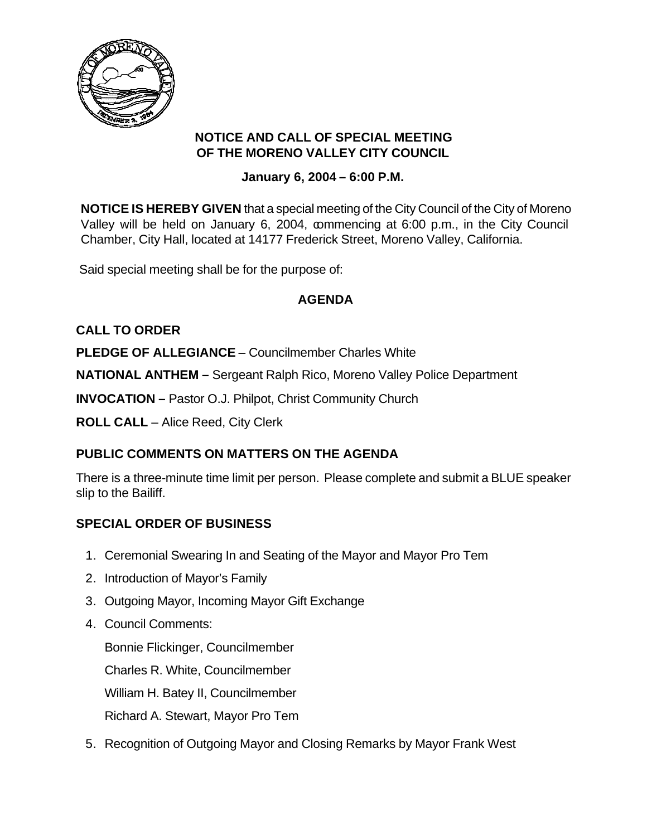

### **NOTICE AND CALL OF SPECIAL MEETING OF THE MORENO VALLEY CITY COUNCIL**

### **January 6, 2004 – 6:00 P.M.**

**NOTICE IS HEREBY GIVEN** that a special meeting of the City Council of the City of Moreno Valley will be held on January 6, 2004, commencing at 6:00 p.m., in the City Council Chamber, City Hall, located at 14177 Frederick Street, Moreno Valley, California.

Said special meeting shall be for the purpose of:

# **AGENDA**

# **CALL TO ORDER**

**PLEDGE OF ALLEGIANCE – Councilmember Charles White** 

**NATIONAL ANTHEM –** Sergeant Ralph Rico, Moreno Valley Police Department

**INVOCATION –** Pastor O.J. Philpot, Christ Community Church

**ROLL CALL** – Alice Reed, City Clerk

# **PUBLIC COMMENTS ON MATTERS ON THE AGENDA**

There is a three-minute time limit per person. Please complete and submit a BLUE speaker slip to the Bailiff.

# **SPECIAL ORDER OF BUSINESS**

- 1. Ceremonial Swearing In and Seating of the Mayor and Mayor Pro Tem
- 2. Introduction of Mayor's Family
- 3. Outgoing Mayor, Incoming Mayor Gift Exchange
- 4. Council Comments:

Bonnie Flickinger, Councilmember Charles R. White, Councilmember William H. Batey II, Councilmember Richard A. Stewart, Mayor Pro Tem

5. Recognition of Outgoing Mayor and Closing Remarks by Mayor Frank West